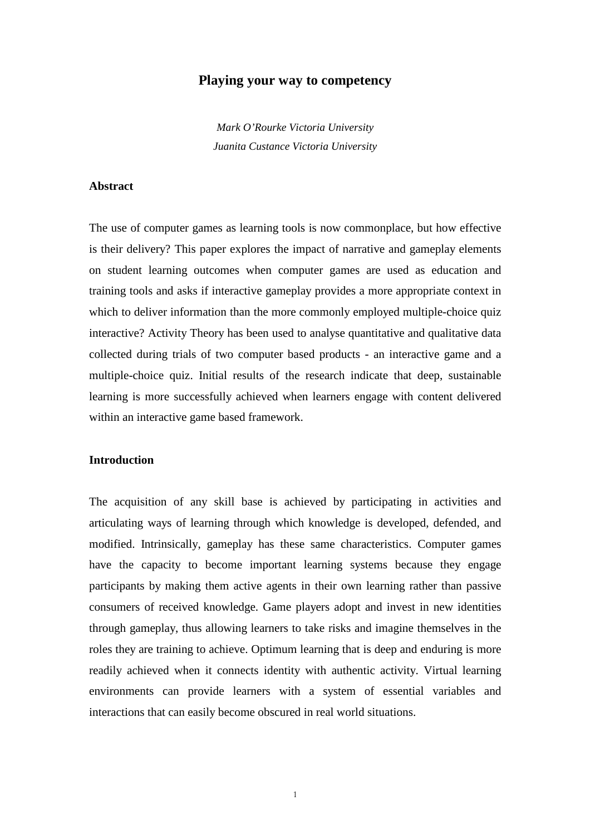# **Playing your way to competency**

*Mark O'Rourke Victoria University Juanita Custance Victoria University* 

# **Abstract**

The use of computer games as learning tools is now commonplace, but how effective is their delivery? This paper explores the impact of narrative and gameplay elements on student learning outcomes when computer games are used as education and training tools and asks if interactive gameplay provides a more appropriate context in which to deliver information than the more commonly employed multiple-choice quiz interactive? Activity Theory has been used to analyse quantitative and qualitative data collected during trials of two computer based products - an interactive game and a multiple-choice quiz. Initial results of the research indicate that deep, sustainable learning is more successfully achieved when learners engage with content delivered within an interactive game based framework.

#### **Introduction**

The acquisition of any skill base is achieved by participating in activities and articulating ways of learning through which knowledge is developed, defended, and modified. Intrinsically, gameplay has these same characteristics. Computer games have the capacity to become important learning systems because they engage participants by making them active agents in their own learning rather than passive consumers of received knowledge. Game players adopt and invest in new identities through gameplay, thus allowing learners to take risks and imagine themselves in the roles they are training to achieve. Optimum learning that is deep and enduring is more readily achieved when it connects identity with authentic activity. Virtual learning environments can provide learners with a system of essential variables and interactions that can easily become obscured in real world situations.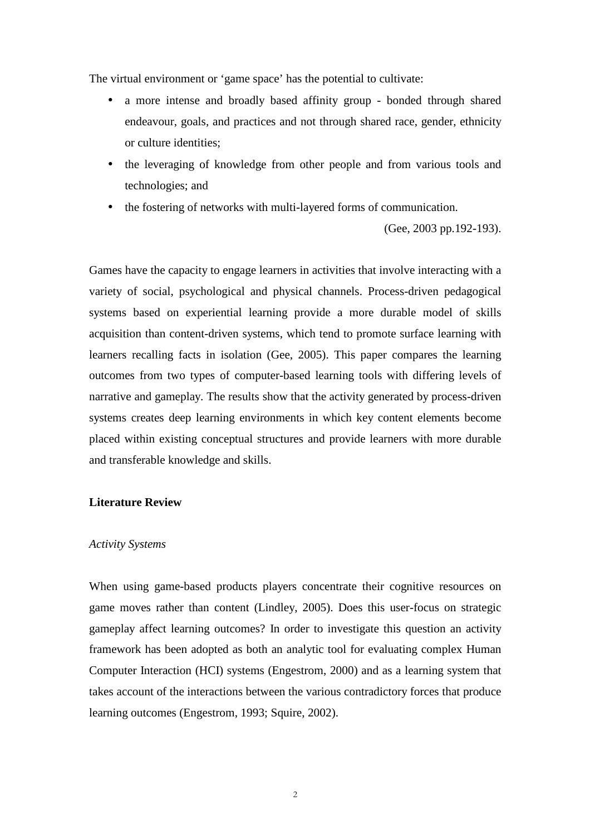The virtual environment or 'game space' has the potential to cultivate:

- a more intense and broadly based affinity group bonded through shared endeavour, goals, and practices and not through shared race, gender, ethnicity or culture identities;
- the leveraging of knowledge from other people and from various tools and technologies; and
- the fostering of networks with multi-layered forms of communication.

(Gee, 2003 pp.192-193).

Games have the capacity to engage learners in activities that involve interacting with a variety of social, psychological and physical channels. Process-driven pedagogical systems based on experiential learning provide a more durable model of skills acquisition than content-driven systems, which tend to promote surface learning with learners recalling facts in isolation (Gee, 2005). This paper compares the learning outcomes from two types of computer-based learning tools with differing levels of narrative and gameplay. The results show that the activity generated by process-driven systems creates deep learning environments in which key content elements become placed within existing conceptual structures and provide learners with more durable and transferable knowledge and skills.

## **Literature Review**

## *Activity Systems*

When using game-based products players concentrate their cognitive resources on game moves rather than content (Lindley, 2005). Does this user-focus on strategic gameplay affect learning outcomes? In order to investigate this question an activity framework has been adopted as both an analytic tool for evaluating complex Human Computer Interaction (HCI) systems (Engestrom, 2000) and as a learning system that takes account of the interactions between the various contradictory forces that produce learning outcomes (Engestrom, 1993; Squire, 2002).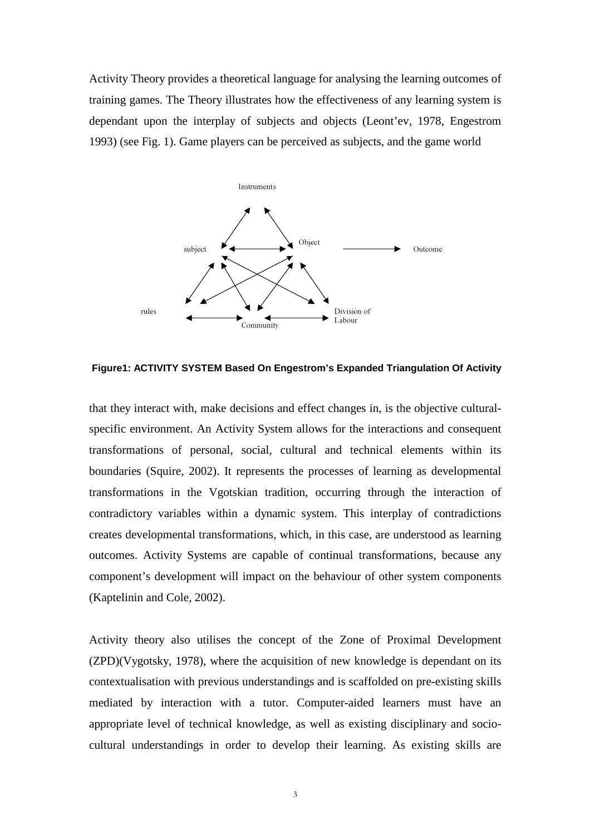Activity Theory provides a theoretical language for analysing the learning outcomes of training games. The Theory illustrates how the effectiveness of any learning system is dependant upon the interplay of subjects and objects (Leont'ev, 1978, Engestrom 1993) (see Fig. 1). Game players can be perceived as subjects, and the game world



**Figure1: ACTIVITY SYSTEM Based On Engestrom's Expanded Triangulation Of Activity** 

that they interact with, make decisions and effect changes in, is the objective culturalspecific environment. An Activity System allows for the interactions and consequent transformations of personal, social, cultural and technical elements within its boundaries (Squire, 2002). It represents the processes of learning as developmental transformations in the Vgotskian tradition, occurring through the interaction of contradictory variables within a dynamic system. This interplay of contradictions creates developmental transformations, which, in this case, are understood as learning outcomes. Activity Systems are capable of continual transformations, because any component's development will impact on the behaviour of other system components (Kaptelinin and Cole, 2002).

Activity theory also utilises the concept of the Zone of Proximal Development (ZPD)(Vygotsky, 1978), where the acquisition of new knowledge is dependant on its contextualisation with previous understandings and is scaffolded on pre-existing skills mediated by interaction with a tutor. Computer-aided learners must have an appropriate level of technical knowledge, as well as existing disciplinary and sociocultural understandings in order to develop their learning. As existing skills are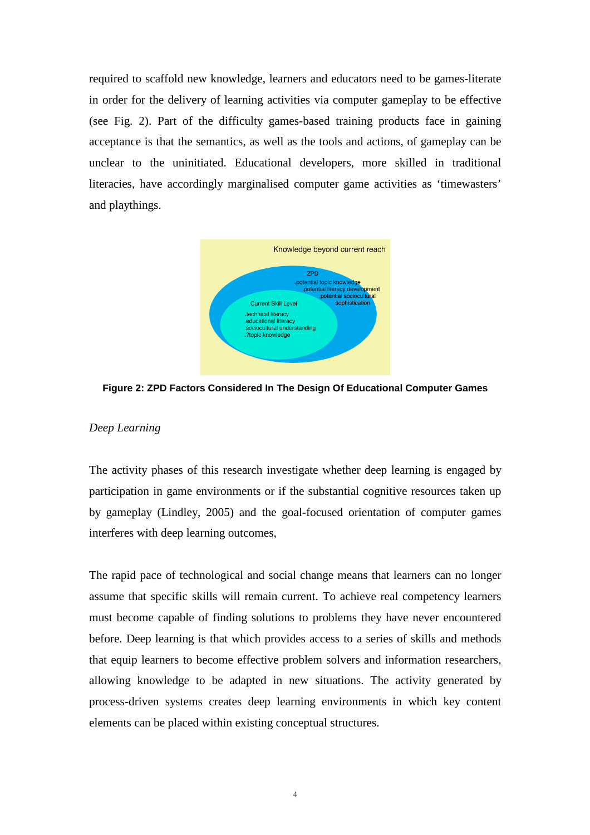required to scaffold new knowledge, learners and educators need to be games-literate in order for the delivery of learning activities via computer gameplay to be effective (see Fig. 2). Part of the difficulty games-based training products face in gaining acceptance is that the semantics, as well as the tools and actions, of gameplay can be unclear to the uninitiated. Educational developers, more skilled in traditional literacies, have accordingly marginalised computer game activities as 'timewasters' and playthings.



**Figure 2: ZPD Factors Considered In The Design Of Educational Computer Games** 

# *Deep Learning*

The activity phases of this research investigate whether deep learning is engaged by participation in game environments or if the substantial cognitive resources taken up by gameplay (Lindley, 2005) and the goal-focused orientation of computer games interferes with deep learning outcomes,

The rapid pace of technological and social change means that learners can no longer assume that specific skills will remain current. To achieve real competency learners must become capable of finding solutions to problems they have never encountered before. Deep learning is that which provides access to a series of skills and methods that equip learners to become effective problem solvers and information researchers, allowing knowledge to be adapted in new situations. The activity generated by process-driven systems creates deep learning environments in which key content elements can be placed within existing conceptual structures.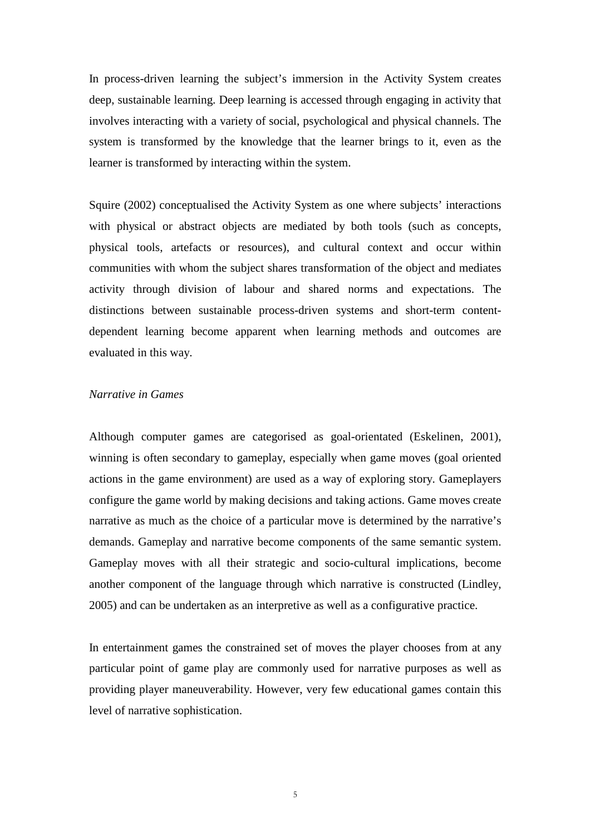In process-driven learning the subject's immersion in the Activity System creates deep, sustainable learning. Deep learning is accessed through engaging in activity that involves interacting with a variety of social, psychological and physical channels. The system is transformed by the knowledge that the learner brings to it, even as the learner is transformed by interacting within the system.

Squire (2002) conceptualised the Activity System as one where subjects' interactions with physical or abstract objects are mediated by both tools (such as concepts, physical tools, artefacts or resources), and cultural context and occur within communities with whom the subject shares transformation of the object and mediates activity through division of labour and shared norms and expectations. The distinctions between sustainable process-driven systems and short-term contentdependent learning become apparent when learning methods and outcomes are evaluated in this way.

## *Narrative in Games*

Although computer games are categorised as goal-orientated (Eskelinen, 2001), winning is often secondary to gameplay, especially when game moves (goal oriented actions in the game environment) are used as a way of exploring story. Gameplayers configure the game world by making decisions and taking actions. Game moves create narrative as much as the choice of a particular move is determined by the narrative's demands. Gameplay and narrative become components of the same semantic system. Gameplay moves with all their strategic and socio-cultural implications, become another component of the language through which narrative is constructed (Lindley, 2005) and can be undertaken as an interpretive as well as a configurative practice.

In entertainment games the constrained set of moves the player chooses from at any particular point of game play are commonly used for narrative purposes as well as providing player maneuverability. However, very few educational games contain this level of narrative sophistication.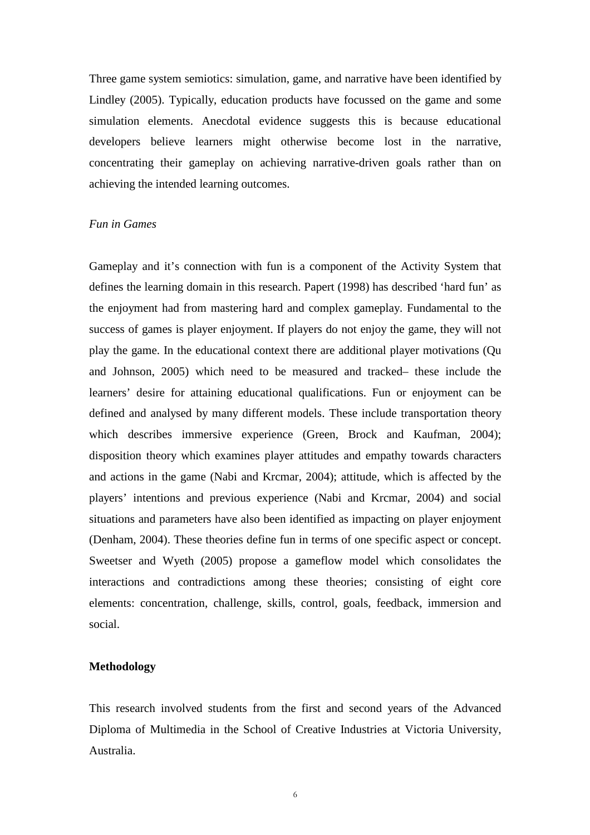Three game system semiotics: simulation, game, and narrative have been identified by Lindley (2005). Typically, education products have focussed on the game and some simulation elements. Anecdotal evidence suggests this is because educational developers believe learners might otherwise become lost in the narrative, concentrating their gameplay on achieving narrative-driven goals rather than on achieving the intended learning outcomes.

## *Fun in Games*

Gameplay and it's connection with fun is a component of the Activity System that defines the learning domain in this research. Papert (1998) has described 'hard fun' as the enjoyment had from mastering hard and complex gameplay. Fundamental to the success of games is player enjoyment. If players do not enjoy the game, they will not play the game. In the educational context there are additional player motivations (Qu and Johnson, 2005) which need to be measured and tracked– these include the learners' desire for attaining educational qualifications. Fun or enjoyment can be defined and analysed by many different models. These include transportation theory which describes immersive experience (Green, Brock and Kaufman, 2004); disposition theory which examines player attitudes and empathy towards characters and actions in the game (Nabi and Krcmar, 2004); attitude, which is affected by the players' intentions and previous experience (Nabi and Krcmar, 2004) and social situations and parameters have also been identified as impacting on player enjoyment (Denham, 2004). These theories define fun in terms of one specific aspect or concept. Sweetser and Wyeth (2005) propose a gameflow model which consolidates the interactions and contradictions among these theories; consisting of eight core elements: concentration, challenge, skills, control, goals, feedback, immersion and social.

## **Methodology**

This research involved students from the first and second years of the Advanced Diploma of Multimedia in the School of Creative Industries at Victoria University, Australia.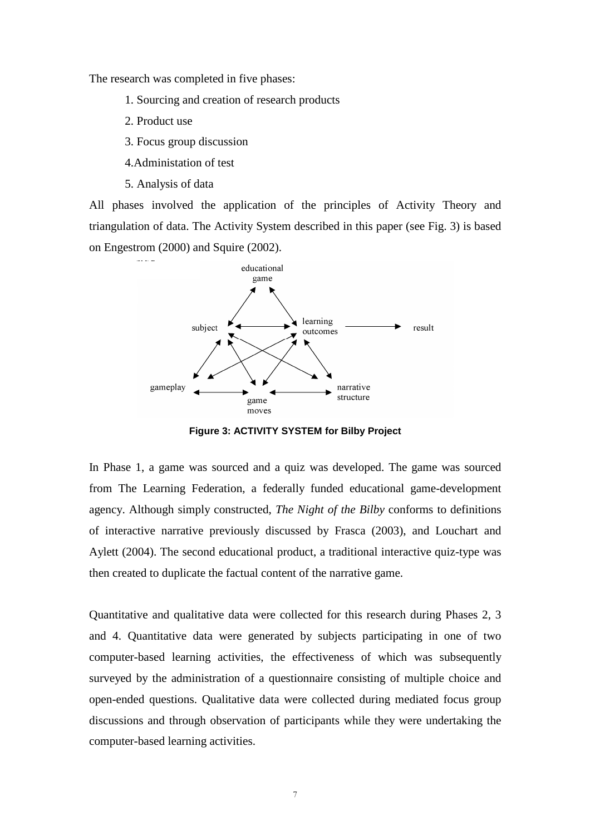The research was completed in five phases:

- 1. Sourcing and creation of research products
- 2. Product use
- 3. Focus group discussion
- 4.Administation of test
- 5. Analysis of data

All phases involved the application of the principles of Activity Theory and triangulation of data. The Activity System described in this paper (see Fig. 3) is based on Engestrom (2000) and Squire (2002).



**Figure 3: ACTIVITY SYSTEM for Bilby Project** 

In Phase 1, a game was sourced and a quiz was developed. The game was sourced from The Learning Federation, a federally funded educational game-development agency. Although simply constructed, *The Night of the Bilby* conforms to definitions of interactive narrative previously discussed by Frasca (2003), and Louchart and Aylett (2004). The second educational product, a traditional interactive quiz-type was then created to duplicate the factual content of the narrative game.

Quantitative and qualitative data were collected for this research during Phases 2, 3 and 4. Quantitative data were generated by subjects participating in one of two computer-based learning activities, the effectiveness of which was subsequently surveyed by the administration of a questionnaire consisting of multiple choice and open-ended questions. Qualitative data were collected during mediated focus group discussions and through observation of participants while they were undertaking the computer-based learning activities.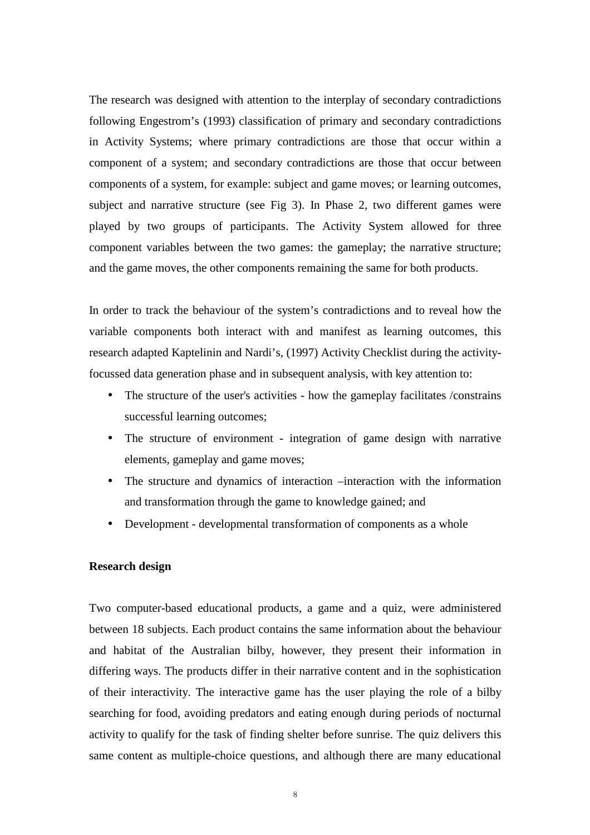The research was designed with attention to the interplay of secondary contradictions following Engestrom's (1993) classification of primary and secondary contradictions in Activity Systems; where primary contradictions are those that occur within a component of a system; and secondary contradictions are those that occur between components of a system, for example: subject and game moves; or learning outcomes, subject and narrative structure (see Fig 3). In Phase 2, two different games were played by two groups of participants. The Activity System allowed for three component variables between the two games: the gameplay; the narrative structure; and the game moves, the other components remaining the same for both products.

In order to track the behaviour of the system's contradictions and to reveal how the variable components both interact with and manifest as learning outcomes, this research adapted Kaptelinin and Nardi's, (1997) Activity Checklist during the activityfocussed data generation phase and in subsequent analysis, with key attention to:

- The structure of the user's activities how the gameplay facilitates /constrains successful learning outcomes;
- The structure of environment integration of game design with narrative elements, gameplay and game moves;
- The structure and dynamics of interaction –interaction with the information and transformation through the game to knowledge gained; and
- Development developmental transformation of components as a whole

## **Research design**

Two computer-based educational products, a game and a quiz, were administered between 18 subjects. Each product contains the same information about the behaviour and habitat of the Australian bilby, however, they present their information in differing ways. The products differ in their narrative content and in the sophistication of their interactivity. The interactive game has the user playing the role of a bilby searching for food, avoiding predators and eating enough during periods of nocturnal activity to qualify for the task of finding shelter before sunrise. The quiz delivers this same content as multiple-choice questions, and although there are many educational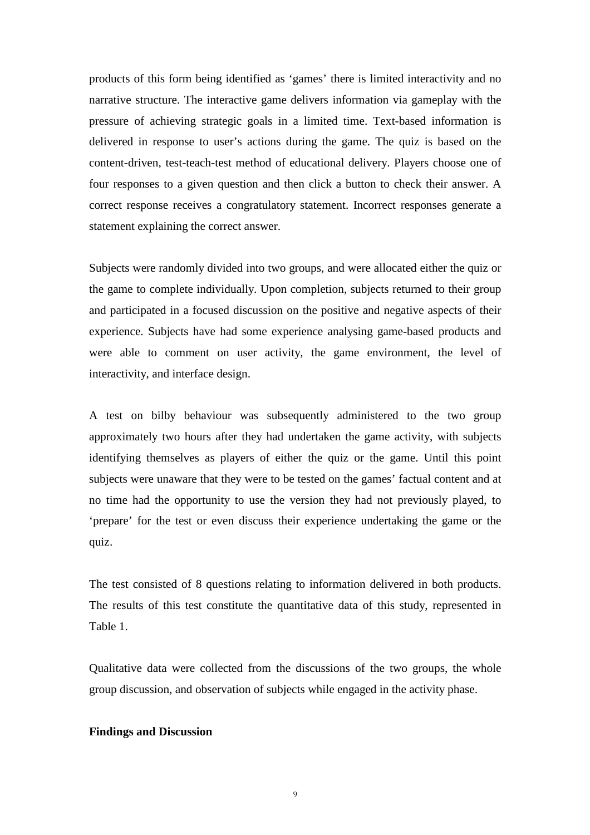products of this form being identified as 'games' there is limited interactivity and no narrative structure. The interactive game delivers information via gameplay with the pressure of achieving strategic goals in a limited time. Text-based information is delivered in response to user's actions during the game. The quiz is based on the content-driven, test-teach-test method of educational delivery. Players choose one of four responses to a given question and then click a button to check their answer. A correct response receives a congratulatory statement. Incorrect responses generate a statement explaining the correct answer.

Subjects were randomly divided into two groups, and were allocated either the quiz or the game to complete individually. Upon completion, subjects returned to their group and participated in a focused discussion on the positive and negative aspects of their experience. Subjects have had some experience analysing game-based products and were able to comment on user activity, the game environment, the level of interactivity, and interface design.

A test on bilby behaviour was subsequently administered to the two group approximately two hours after they had undertaken the game activity, with subjects identifying themselves as players of either the quiz or the game. Until this point subjects were unaware that they were to be tested on the games' factual content and at no time had the opportunity to use the version they had not previously played, to 'prepare' for the test or even discuss their experience undertaking the game or the quiz.

The test consisted of 8 questions relating to information delivered in both products. The results of this test constitute the quantitative data of this study, represented in Table 1.

Qualitative data were collected from the discussions of the two groups, the whole group discussion, and observation of subjects while engaged in the activity phase.

### **Findings and Discussion**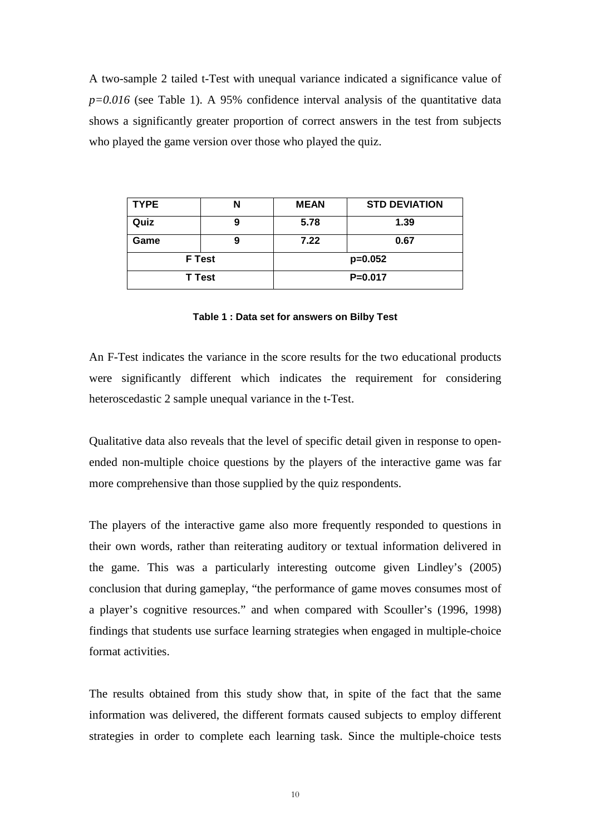A two-sample 2 tailed t-Test with unequal variance indicated a significance value of *p=0.016* (see Table 1). A 95% confidence interval analysis of the quantitative data shows a significantly greater proportion of correct answers in the test from subjects who played the game version over those who played the quiz.

| <b>TYPE</b>   |   | <b>MEAN</b> | <b>STD DEVIATION</b> |
|---------------|---|-------------|----------------------|
| Quiz          | 9 | 5.78        | 1.39                 |
| Game          | 9 | 7.22        | 0.67                 |
| <b>F</b> Test |   | $p=0.052$   |                      |
| T Test        |   | $P = 0.017$ |                      |

#### **Table 1 : Data set for answers on Bilby Test**

An F-Test indicates the variance in the score results for the two educational products were significantly different which indicates the requirement for considering heteroscedastic 2 sample unequal variance in the t-Test.

Qualitative data also reveals that the level of specific detail given in response to openended non-multiple choice questions by the players of the interactive game was far more comprehensive than those supplied by the quiz respondents.

The players of the interactive game also more frequently responded to questions in their own words, rather than reiterating auditory or textual information delivered in the game. This was a particularly interesting outcome given Lindley's (2005) conclusion that during gameplay, "the performance of game moves consumes most of a player's cognitive resources." and when compared with Scouller's (1996, 1998) findings that students use surface learning strategies when engaged in multiple-choice format activities.

The results obtained from this study show that, in spite of the fact that the same information was delivered, the different formats caused subjects to employ different strategies in order to complete each learning task. Since the multiple-choice tests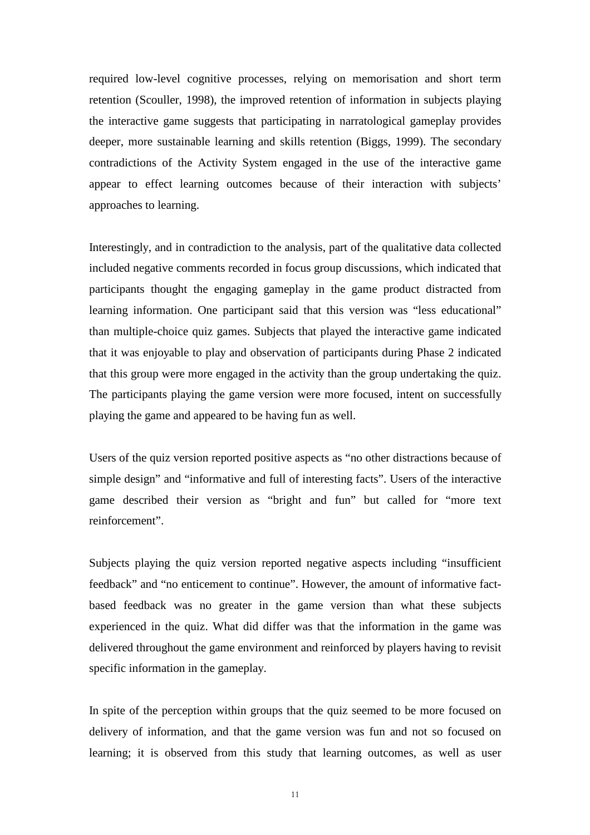required low-level cognitive processes, relying on memorisation and short term retention (Scouller, 1998), the improved retention of information in subjects playing the interactive game suggests that participating in narratological gameplay provides deeper, more sustainable learning and skills retention (Biggs, 1999). The secondary contradictions of the Activity System engaged in the use of the interactive game appear to effect learning outcomes because of their interaction with subjects' approaches to learning.

Interestingly, and in contradiction to the analysis, part of the qualitative data collected included negative comments recorded in focus group discussions, which indicated that participants thought the engaging gameplay in the game product distracted from learning information. One participant said that this version was "less educational" than multiple-choice quiz games. Subjects that played the interactive game indicated that it was enjoyable to play and observation of participants during Phase 2 indicated that this group were more engaged in the activity than the group undertaking the quiz. The participants playing the game version were more focused, intent on successfully playing the game and appeared to be having fun as well.

Users of the quiz version reported positive aspects as "no other distractions because of simple design" and "informative and full of interesting facts". Users of the interactive game described their version as "bright and fun" but called for "more text reinforcement".

Subjects playing the quiz version reported negative aspects including "insufficient feedback" and "no enticement to continue". However, the amount of informative factbased feedback was no greater in the game version than what these subjects experienced in the quiz. What did differ was that the information in the game was delivered throughout the game environment and reinforced by players having to revisit specific information in the gameplay.

In spite of the perception within groups that the quiz seemed to be more focused on delivery of information, and that the game version was fun and not so focused on learning; it is observed from this study that learning outcomes, as well as user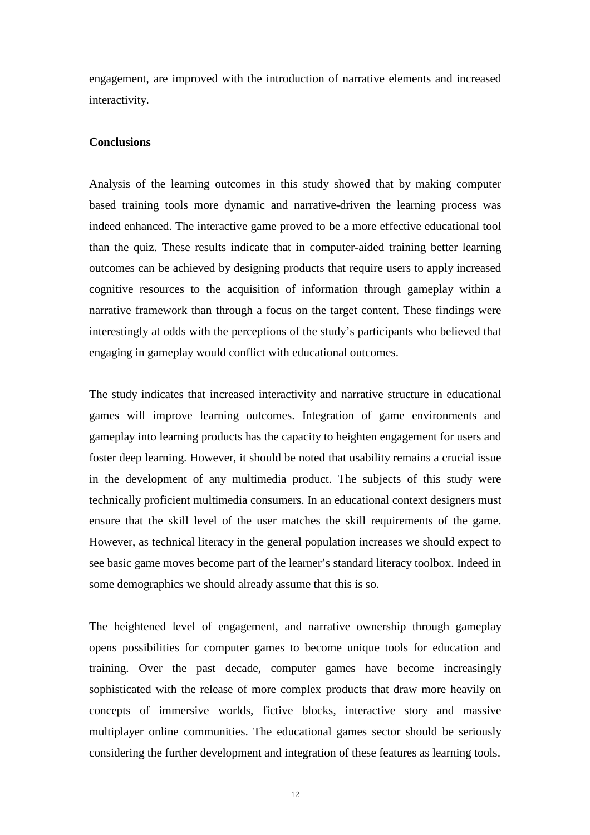engagement, are improved with the introduction of narrative elements and increased interactivity.

## **Conclusions**

Analysis of the learning outcomes in this study showed that by making computer based training tools more dynamic and narrative-driven the learning process was indeed enhanced. The interactive game proved to be a more effective educational tool than the quiz. These results indicate that in computer-aided training better learning outcomes can be achieved by designing products that require users to apply increased cognitive resources to the acquisition of information through gameplay within a narrative framework than through a focus on the target content. These findings were interestingly at odds with the perceptions of the study's participants who believed that engaging in gameplay would conflict with educational outcomes.

The study indicates that increased interactivity and narrative structure in educational games will improve learning outcomes. Integration of game environments and gameplay into learning products has the capacity to heighten engagement for users and foster deep learning. However, it should be noted that usability remains a crucial issue in the development of any multimedia product. The subjects of this study were technically proficient multimedia consumers. In an educational context designers must ensure that the skill level of the user matches the skill requirements of the game. However, as technical literacy in the general population increases we should expect to see basic game moves become part of the learner's standard literacy toolbox. Indeed in some demographics we should already assume that this is so.

The heightened level of engagement, and narrative ownership through gameplay opens possibilities for computer games to become unique tools for education and training. Over the past decade, computer games have become increasingly sophisticated with the release of more complex products that draw more heavily on concepts of immersive worlds, fictive blocks, interactive story and massive multiplayer online communities. The educational games sector should be seriously considering the further development and integration of these features as learning tools.

12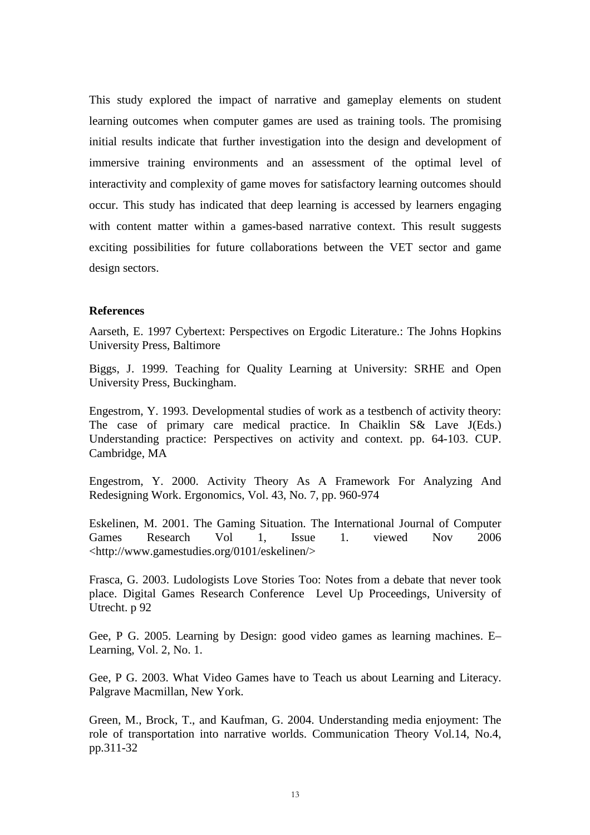This study explored the impact of narrative and gameplay elements on student learning outcomes when computer games are used as training tools. The promising initial results indicate that further investigation into the design and development of immersive training environments and an assessment of the optimal level of interactivity and complexity of game moves for satisfactory learning outcomes should occur. This study has indicated that deep learning is accessed by learners engaging with content matter within a games-based narrative context. This result suggests exciting possibilities for future collaborations between the VET sector and game design sectors.

### **References**

Aarseth, E. 1997 Cybertext: Perspectives on Ergodic Literature.: The Johns Hopkins University Press, Baltimore

Biggs, J. 1999. Teaching for Quality Learning at University: SRHE and Open University Press, Buckingham.

Engestrom, Y. 1993. Developmental studies of work as a testbench of activity theory: The case of primary care medical practice. In Chaiklin S& Lave J(Eds.) Understanding practice: Perspectives on activity and context. pp. 64-103. CUP. Cambridge, MA

Engestrom, Y. 2000. Activity Theory As A Framework For Analyzing And Redesigning Work. Ergonomics, Vol. 43, No. 7, pp. 960-974

Eskelinen, M. 2001. The Gaming Situation. The International Journal of Computer Games Research Vol 1, Issue 1. viewed Nov 2006 <http://www.gamestudies.org/0101/eskelinen/>

Frasca, G. 2003. Ludologists Love Stories Too: Notes from a debate that never took place. Digital Games Research Conference Level Up Proceedings, University of Utrecht. p 92

Gee, P G. 2005. Learning by Design: good video games as learning machines. E– Learning, Vol. 2, No. 1.

Gee, P G. 2003. What Video Games have to Teach us about Learning and Literacy. Palgrave Macmillan, New York.

Green, M., Brock, T., and Kaufman, G. 2004. Understanding media enjoyment: The role of transportation into narrative worlds. Communication Theory Vol.14, No.4, pp.311-32